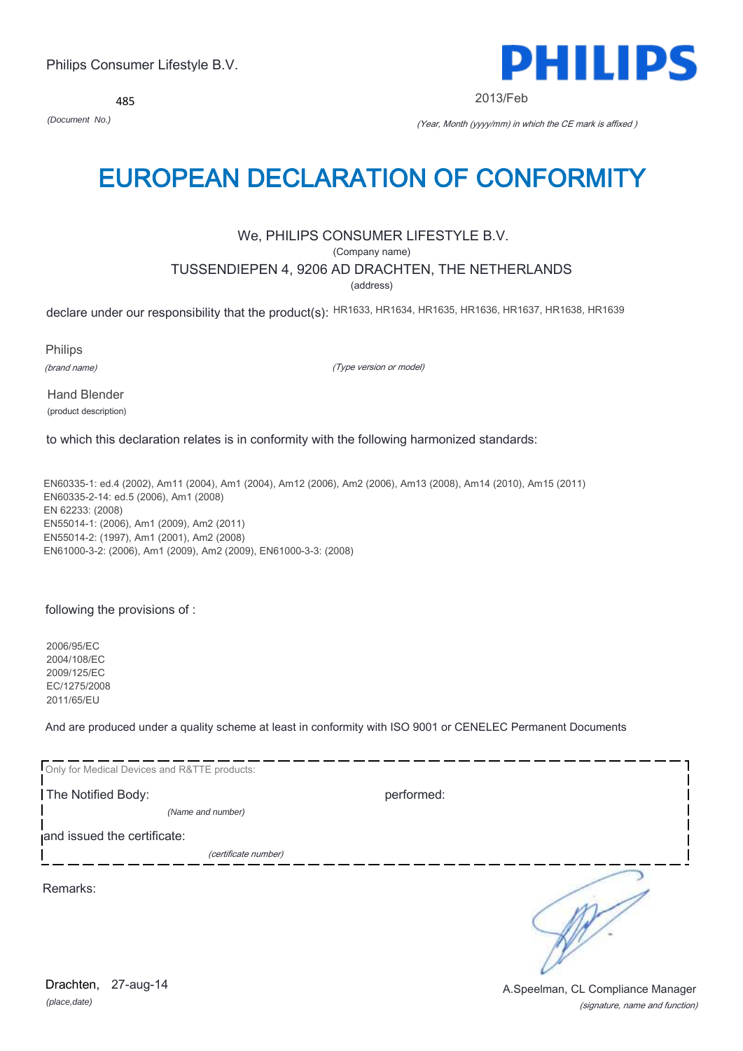485



2013/Feb

*(Document No.)* (Year, Month (yyyy/mm) in which the CE mark is affixed )

# EUROPEAN DECLARATION OF CONFORMITY

# We, PHILIPS CONSUMER LIFESTYLE B.V.

(Company name)

# TUSSENDIEPEN 4, 9206 AD DRACHTEN, THE NETHERLANDS

(address)

declare under our responsibility that the product(s): HR1633, HR1634, HR1635, HR1636, HR1637, HR1638, HR1639

Philips

(brand name)

(Type version or model)

Hand Blender (product description)

to which this declaration relates is in conformity with the following harmonized standards:

EN60335-1: ed.4 (2002), Am11 (2004), Am1 (2004), Am12 (2006), Am2 (2006), Am13 (2008), Am14 (2010), Am15 (2011) EN60335-2-14: ed.5 (2006), Am1 (2008) EN 62233: (2008) EN55014-1: (2006), Am1 (2009), Am2 (2011) EN55014-2: (1997), Am1 (2001), Am2 (2008) EN61000-3-2: (2006), Am1 (2009), Am2 (2009), EN61000-3-3: (2008)

following the provisions of :

2006/95/EC 2004/108/EC 2009/125/EC EC/1275/2008 2011/65/EU

And are produced under a quality scheme at least in conformity with ISO 9001 or CENELEC Permanent Documents

| Only for Medical Devices and R&TTE products: |            |
|----------------------------------------------|------------|
| The Notified Body:                           | performed: |
| (Name and number)                            |            |
| and issued the certificate:                  |            |
| (certificate number)                         |            |
| Remarks:                                     |            |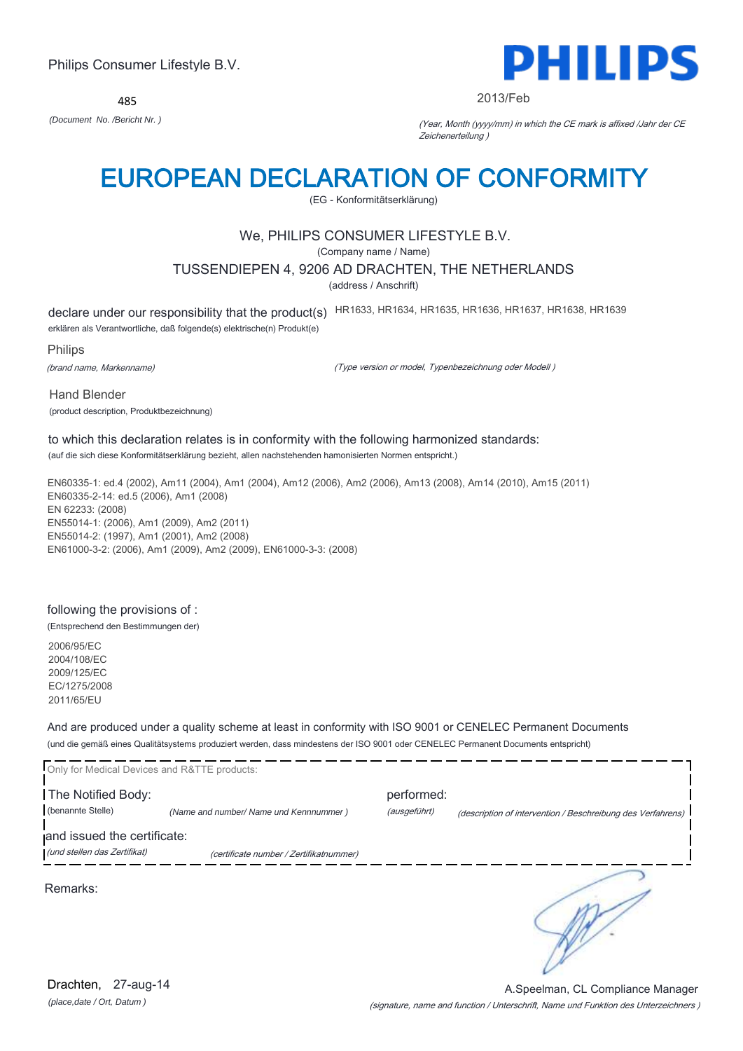485



#### 2013/Feb

*(Document No. /Bericht Nr. )* (Year, Month (yyyy/mm) in which the CE mark is affixed /Jahr der CE Zeichenerteilung )

# EUROPEAN DECLARATION OF CONFORMITY

(EG - Konformitätserklärung)

# We, PHILIPS CONSUMER LIFESTYLE B.V.

(Company name / Name)

### TUSSENDIEPEN 4, 9206 AD DRACHTEN, THE NETHERLANDS

(address / Anschrift)

declare under our responsibility that the product(s) HR1633, HR1634, HR1635, HR1636, HR1637, HR1638, HR1639

erklären als Verantwortliche, daß folgende(s) elektrische(n) Produkt(e)

Philips

(brand name, Markenname)

(Type version or model, Typenbezeichnung oder Modell )

Hand Blender

(product description, Produktbezeichnung)

# to which this declaration relates is in conformity with the following harmonized standards:

(auf die sich diese Konformitätserklärung bezieht, allen nachstehenden hamonisierten Normen entspricht.)

EN60335-1: ed.4 (2002), Am11 (2004), Am1 (2004), Am12 (2006), Am2 (2006), Am13 (2008), Am14 (2010), Am15 (2011) EN60335-2-14: ed.5 (2006), Am1 (2008) EN 62233: (2008) EN55014-1: (2006), Am1 (2009), Am2 (2011) EN55014-2: (1997), Am1 (2001), Am2 (2008) EN61000-3-2: (2006), Am1 (2009), Am2 (2009), EN61000-3-3: (2008)

# following the provisions of :

(Entsprechend den Bestimmungen der)

2006/95/EC 2004/108/EC 2009/125/EC EC/1275/2008 2011/65/EU

And are produced under a quality scheme at least in conformity with ISO 9001 or CENELEC Permanent Documents (und die gemäß eines Qualitätsystems produziert werden, dass mindestens der ISO 9001 oder CENELEC Permanent Documents entspricht)

| Only for Medical Devices and R&TTE products: |                                         |                            |                                                             |
|----------------------------------------------|-----------------------------------------|----------------------------|-------------------------------------------------------------|
| The Notified Body:<br>(benannte Stelle)      | (Name and number/ Name und Kennnummer)  | performed:<br>(ausgeführt) | (description of intervention / Beschreibung des Verfahrens) |
| and issued the certificate:                  |                                         |                            |                                                             |
| (und stellen das Zertifikat)                 | (certificate number / Zertifikatnummer) |                            |                                                             |
| Remarks:                                     |                                         |                            |                                                             |

*(place,date / Ort, Datum )* Drachten, 27-aug-14

(signature, name and function / Unterschrift, Name und Funktion des Unterzeichners ) A.Speelman, CL Compliance Manager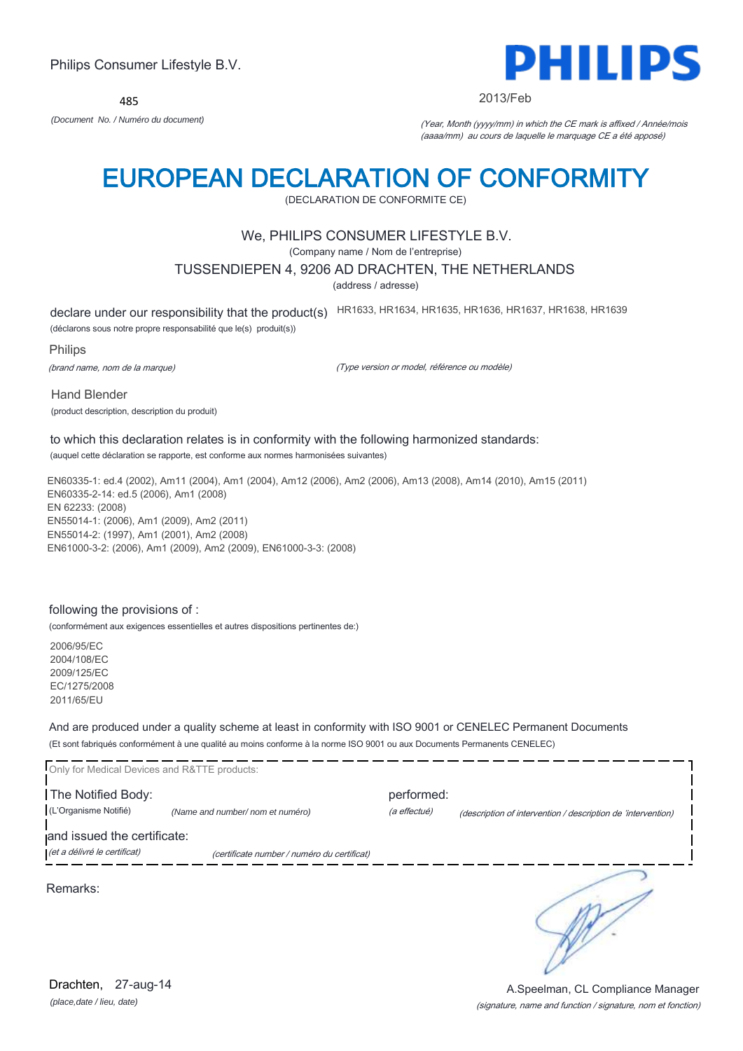485



#### 2013/Feb

*(Document No. / Numéro du document)* (Year, Month (yyyy/mm) in which the CE mark is affixed / Année/mois (aaaa/mm) au cours de laquelle le marquage CE a été apposé)

# EUROPEAN DECLARATION OF CONFORMITY

(DECLARATION DE CONFORMITE CE)

# We, PHILIPS CONSUMER LIFESTYLE B.V.

(Company name / Nom de l'entreprise)

#### TUSSENDIEPEN 4, 9206 AD DRACHTEN, THE NETHERLANDS

(address / adresse)

declare under our responsibility that the product(s) HR1633, HR1634, HR1635, HR1636, HR1637, HR1638, HR1639

(déclarons sous notre propre responsabilité que le(s) produit(s))

Philips

(brand name, nom de la marque)

(Type version or model, référence ou modèle)

Hand Blender (product description, description du produit)

#### to which this declaration relates is in conformity with the following harmonized standards: (auquel cette déclaration se rapporte, est conforme aux normes harmonisées suivantes)

EN60335-1: ed.4 (2002), Am11 (2004), Am1 (2004), Am12 (2006), Am2 (2006), Am13 (2008), Am14 (2010), Am15 (2011) EN60335-2-14: ed.5 (2006), Am1 (2008) EN 62233: (2008) EN55014-1: (2006), Am1 (2009), Am2 (2011) EN55014-2: (1997), Am1 (2001), Am2 (2008) EN61000-3-2: (2006), Am1 (2009), Am2 (2009), EN61000-3-3: (2008)

#### following the provisions of :

(conformément aux exigences essentielles et autres dispositions pertinentes de:)

2006/95/EC 2004/108/EC 2009/125/EC EC/1275/2008 2011/65/EU

And are produced under a quality scheme at least in conformity with ISO 9001 or CENELEC Permanent Documents (Et sont fabriqués conformément à une qualité au moins conforme à la norme ISO 9001 ou aux Documents Permanents CENELEC)

| Only for Medical Devices and R&TTE products:                |                                             |                            |                                                              |
|-------------------------------------------------------------|---------------------------------------------|----------------------------|--------------------------------------------------------------|
| The Notified Body:<br>(L'Organisme Notifié)                 | (Name and number/ nom et numéro)            | performed:<br>(a effectué) | (description of intervention / description de 'intervention) |
| and issued the certificate:<br>(et a délivré le certificat) | (certificate number / numéro du certificat) |                            |                                                              |
| Remarks:                                                    |                                             |                            |                                                              |
|                                                             |                                             |                            |                                                              |

*(place,date / lieu, date)* Drachten, 27-aug-14

#### (signature, name and function / signature, nom et fonction) A.Speelman, CL Compliance Manager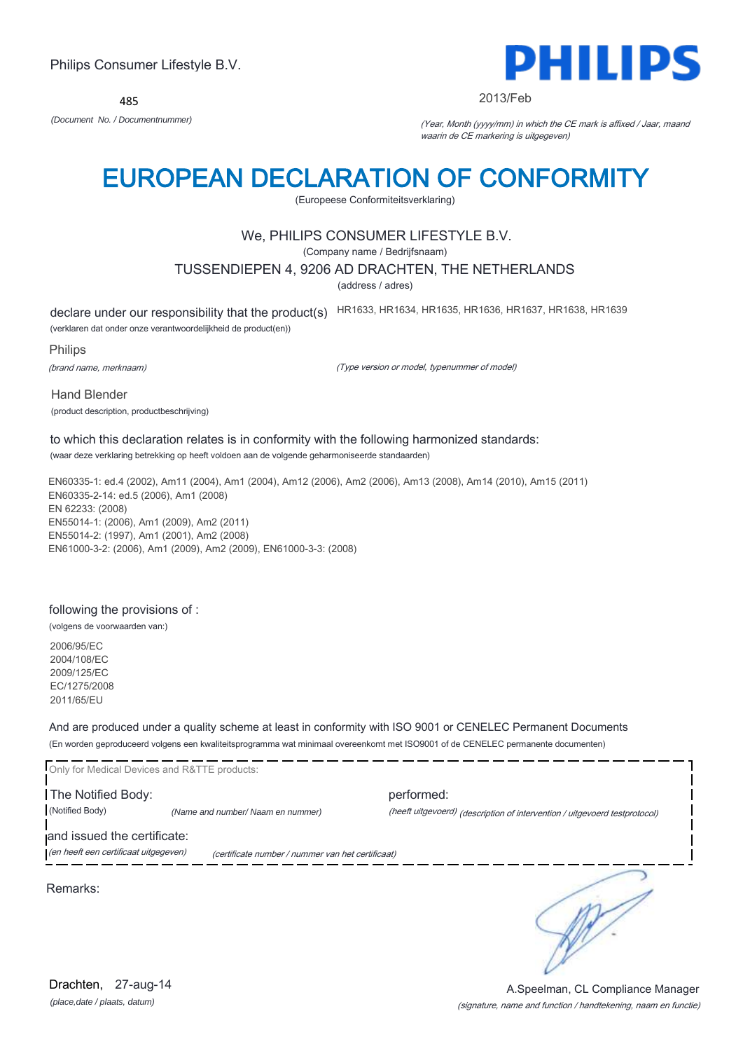485



#### 2013/Feb

*(Document No. / Documentnummer)* (Year, Month (yyyy/mm) in which the CE mark is affixed / Jaar, maand waarin de CE markering is uitgegeven)

# EUROPEAN DECLARATION OF CONFORMITY

(Europeese Conformiteitsverklaring)

# We, PHILIPS CONSUMER LIFESTYLE B.V.

(Company name / Bedrijfsnaam)

## TUSSENDIEPEN 4, 9206 AD DRACHTEN, THE NETHERLANDS

(address / adres)

declare under our responsibility that the product(s) HR1633, HR1634, HR1635, HR1636, HR1637, HR1638, HR1639

(verklaren dat onder onze verantwoordelijkheid de product(en))

Philips

(brand name, merknaam)

(Type version or model, typenummer of model)

Hand Blender (product description, productbeschrijving)

#### to which this declaration relates is in conformity with the following harmonized standards: (waar deze verklaring betrekking op heeft voldoen aan de volgende geharmoniseerde standaarden)

EN60335-1: ed.4 (2002), Am11 (2004), Am1 (2004), Am12 (2006), Am2 (2006), Am13 (2008), Am14 (2010), Am15 (2011) EN60335-2-14: ed.5 (2006), Am1 (2008) EN 62233: (2008) EN55014-1: (2006), Am1 (2009), Am2 (2011) EN55014-2: (1997), Am1 (2001), Am2 (2008) EN61000-3-2: (2006), Am1 (2009), Am2 (2009), EN61000-3-3: (2008)

## following the provisions of :

(volgens de voorwaarden van:)

2006/95/EC 2004/108/EC 2009/125/EC EC/1275/2008 2011/65/EU

And are produced under a quality scheme at least in conformity with ISO 9001 or CENELEC Permanent Documents (En worden geproduceerd volgens een kwaliteitsprogramma wat minimaal overeenkomt met ISO9001 of de CENELEC permanente documenten)

|                                       | Only for Medical Devices and R&TTE products:      |                                                                            |
|---------------------------------------|---------------------------------------------------|----------------------------------------------------------------------------|
| The Notified Body:                    |                                                   | performed:                                                                 |
| (Notified Body)                       | (Name and number/ Naam en nummer)                 | (heeft uitgevoerd) (description of intervention / uitgevoerd testprotocol) |
| and issued the certificate:           |                                                   |                                                                            |
| (en heeft een certificaat uitgegeven) | (certificate number / nummer van het certificaat) |                                                                            |
|                                       |                                                   |                                                                            |
| Remarks:                              |                                                   |                                                                            |

#### (signature, name and function / handtekening, naam en functie) A.Speelman, CL Compliance Manager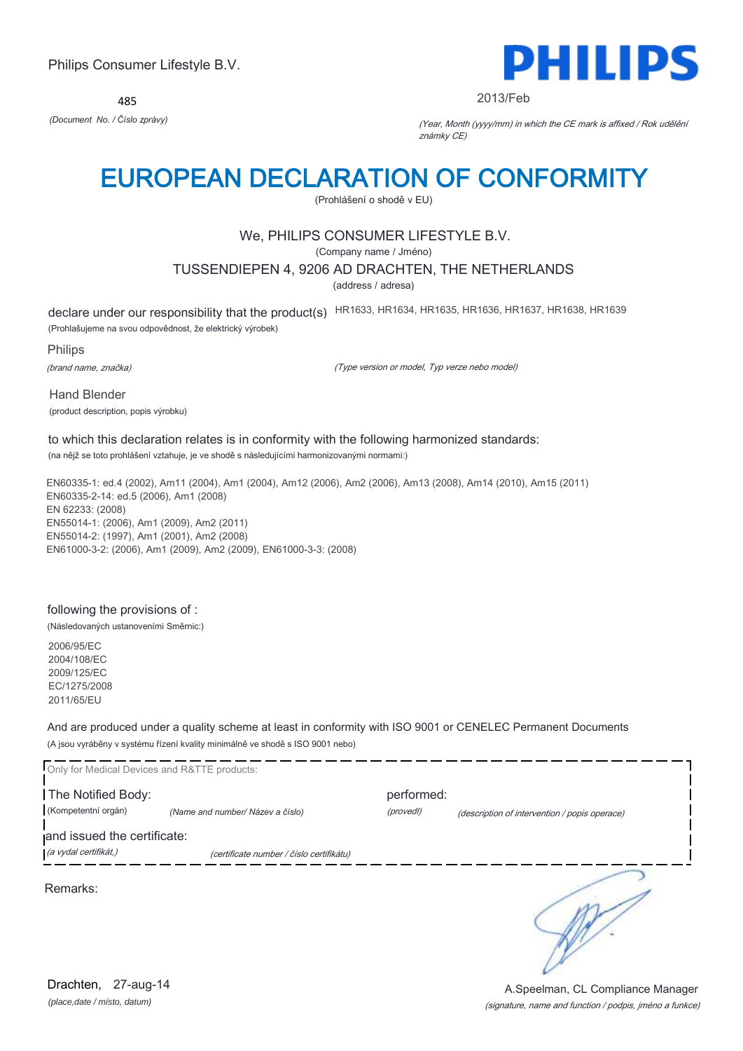485



#### 2013/Feb

*(Document No. / Číslo zprávy)* (Year, Month (yyyy/mm) in which the CE mark is affixed / Rok udělění známky CE)

# EUROPEAN DECLARATION OF CONFORMITY

(Prohlášení o shodě v EU)

# We, PHILIPS CONSUMER LIFESTYLE B.V.

(Company name / Jméno)

## TUSSENDIEPEN 4, 9206 AD DRACHTEN, THE NETHERLANDS

(address / adresa)

declare under our responsibility that the product(s) HR1633, HR1634, HR1635, HR1636, HR1637, HR1638, HR1639

(Prohlašujeme na svou odpovědnost, že elektrický výrobek)

Philips

(brand name, značka)

(Type version or model, Typ verze nebo model)

Hand Blender (product description, popis výrobku)

# to which this declaration relates is in conformity with the following harmonized standards:

(na nějž se toto prohlášení vztahuje, je ve shodě s následujícími harmonizovanými normami:)

EN60335-1: ed.4 (2002), Am11 (2004), Am1 (2004), Am12 (2006), Am2 (2006), Am13 (2008), Am14 (2010), Am15 (2011) EN60335-2-14: ed.5 (2006), Am1 (2008) EN 62233: (2008) EN55014-1: (2006), Am1 (2009), Am2 (2011) EN55014-2: (1997), Am1 (2001), Am2 (2008) EN61000-3-2: (2006), Am1 (2009), Am2 (2009), EN61000-3-3: (2008)

# following the provisions of :

(Následovaných ustanoveními Směrnic:)

2006/95/EC 2004/108/EC 2009/125/EC EC/1275/2008 2011/65/EU

And are produced under a quality scheme at least in conformity with ISO 9001 or CENELEC Permanent Documents (A jsou vyráběny v systému řízení kvality minimálně ve shodě s ISO 9001 nebo)

| Only for Medical Devices and R&TTE products:         |                                          |                         |                                               |
|------------------------------------------------------|------------------------------------------|-------------------------|-----------------------------------------------|
| The Notified Body:<br>(Kompetentní orgán)            | (Name and number/ Název a číslo)         | performed:<br>(provedl) | (description of intervention / popis operace) |
| and issued the certificate:<br>(a vydal certifikát,) | (certificate number / číslo certifikátu) |                         |                                               |
| Remarks:                                             |                                          |                         |                                               |
|                                                      |                                          |                         |                                               |

*(place,date / místo, datum)* Drachten, 27-aug-14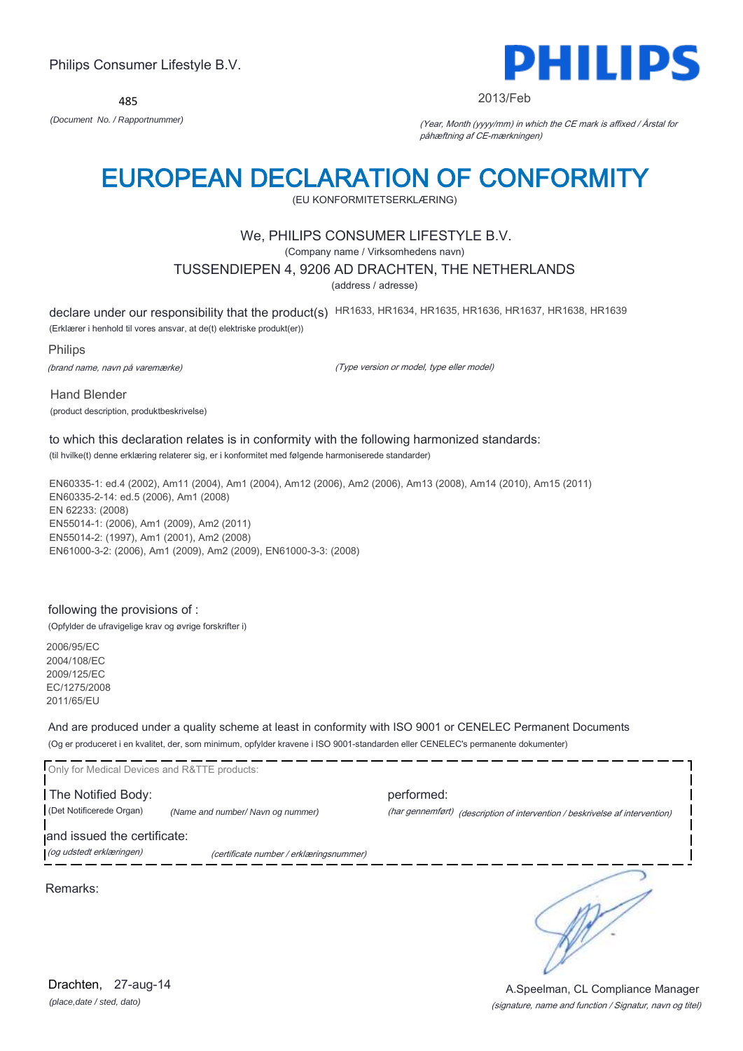

#### 2013/Feb

*(Document No. / Rapportnummer)* (Year, Month (yyyy/mm) in which the CE mark is affixed / Årstal for påhæftning af CE-mærkningen)

# EUROPEAN DECLARATION OF CONFORMITY

(EU KONFORMITETSERKLÆRING)

# We, PHILIPS CONSUMER LIFESTYLE B.V.

(Company name / Virksomhedens navn)

## TUSSENDIEPEN 4, 9206 AD DRACHTEN, THE NETHERLANDS

(address / adresse)

declare under our responsibility that the product(s) HR1633, HR1634, HR1635, HR1636, HR1637, HR1638, HR1639

(Erklærer i henhold til vores ansvar, at de(t) elektriske produkt(er))

Philips

(brand name, navn på varemærke)

(Type version or model, type eller model)

Hand Blender (product description, produktbeskrivelse)

#### to which this declaration relates is in conformity with the following harmonized standards: (til hvilke(t) denne erklæring relaterer sig, er i konformitet med følgende harmoniserede standarder)

EN60335-1: ed.4 (2002), Am11 (2004), Am1 (2004), Am12 (2006), Am2 (2006), Am13 (2008), Am14 (2010), Am15 (2011) EN60335-2-14: ed.5 (2006), Am1 (2008) EN 62233: (2008) EN55014-1: (2006), Am1 (2009), Am2 (2011) EN55014-2: (1997), Am1 (2001), Am2 (2008) EN61000-3-2: (2006), Am1 (2009), Am2 (2009), EN61000-3-3: (2008)

## following the provisions of :

(Opfylder de ufravigelige krav og øvrige forskrifter i)

2006/95/EC 2004/108/EC 2009/125/EC EC/1275/2008 2011/65/EU

And are produced under a quality scheme at least in conformity with ISO 9001 or CENELEC Permanent Documents (Og er produceret i en kvalitet, der, som minimum, opfylder kravene i ISO 9001-standarden eller CENELEC's permanente dokumenter)

| Only for Medical Devices and R&TTE products: |                                         |            |                                                                              |
|----------------------------------------------|-----------------------------------------|------------|------------------------------------------------------------------------------|
| The Notified Body:                           |                                         | performed: |                                                                              |
| (Det Notificerede Organ)                     | (Name and number/Navn og nummer)        |            | (har gennemført) (description of intervention / beskrivelse af intervention) |
| and issued the certificate:                  |                                         |            |                                                                              |
| (og udstedt erklæringen)                     | (certificate number / erklæringsnummer) |            |                                                                              |
|                                              |                                         |            |                                                                              |

Remarks:

*(place,date / sted, dato)* Drachten, 27-aug-14

#### (signature, name and function / Signatur, navn og titel) A.Speelman, CL Compliance Manager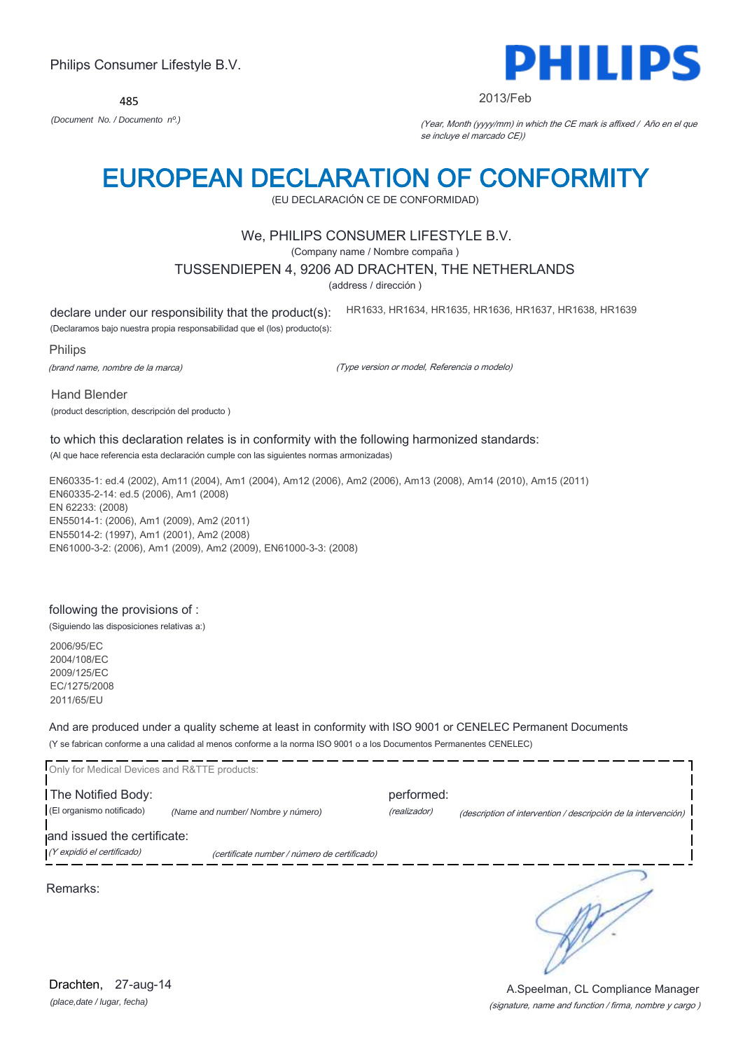485



#### 2013/Feb

HR1633, HR1634, HR1635, HR1636, HR1637, HR1638, HR1639

*(Document No. / Documento nº.)* (Year, Month (yyyy/mm) in which the CE mark is affixed / Año en el que se incluye el marcado CE))

# EUROPEAN DECLARATION OF CONFORMITY

(EU DECLARACIÓN CE DE CONFORMIDAD)

# We, PHILIPS CONSUMER LIFESTYLE B.V.

(Company name / Nombre compaña )

#### TUSSENDIEPEN 4, 9206 AD DRACHTEN, THE NETHERLANDS

(address / dirección )

declare under our responsibility that the product(s):

(Declaramos bajo nuestra propia responsabilidad que el (los) producto(s):

Philips

(brand name, nombre de la marca)

(Type version or model, Referencia o modelo)

Hand Blender

(product description, descripción del producto )

# to which this declaration relates is in conformity with the following harmonized standards:

(Al que hace referencia esta declaración cumple con las siguientes normas armonizadas)

EN60335-1: ed.4 (2002), Am11 (2004), Am1 (2004), Am12 (2006), Am2 (2006), Am13 (2008), Am14 (2010), Am15 (2011) EN60335-2-14: ed.5 (2006), Am1 (2008) EN 62233: (2008) EN55014-1: (2006), Am1 (2009), Am2 (2011) EN55014-2: (1997), Am1 (2001), Am2 (2008) EN61000-3-2: (2006), Am1 (2009), Am2 (2009), EN61000-3-3: (2008)

### following the provisions of :

(Siguiendo las disposiciones relativas a:)

2006/95/EC 2004/108/EC 2009/125/EC EC/1275/2008 2011/65/EU

And are produced under a quality scheme at least in conformity with ISO 9001 or CENELEC Permanent Documents (Y se fabrican conforme a una calidad al menos conforme a la norma ISO 9001 o a los Documentos Permanentes CENELEC)

| Only for Medical Devices and R&TTE products:              |                                              |                            |                                                                |
|-----------------------------------------------------------|----------------------------------------------|----------------------------|----------------------------------------------------------------|
| The Notified Body:<br>(El organismo notificado)           | (Name and number/ Nombre y número)           | performed:<br>(realizador) | (description of intervention / descripción de la intervención) |
| and issued the certificate:<br>(Y expidió el certificado) | (certificate number / número de certificado) |                            |                                                                |
| Remarks:                                                  |                                              |                            |                                                                |

*(place,date / lugar, fecha)* Drachten, 27-aug-14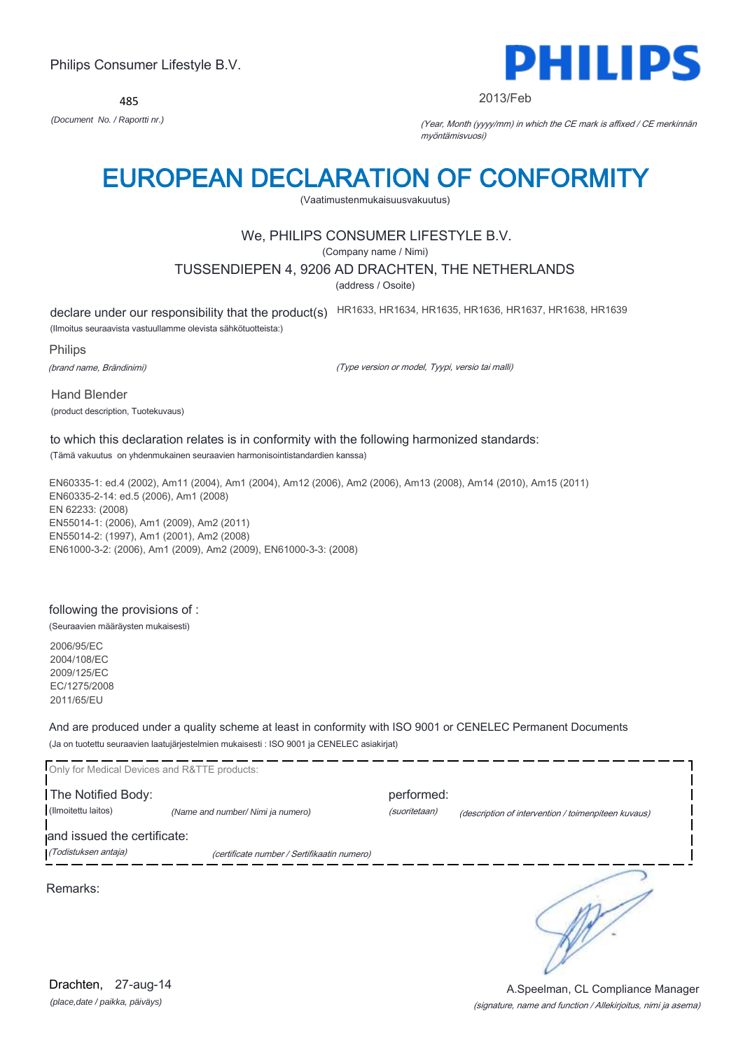485



#### 2013/Feb

*(Document No. / Raportti nr.)* (Year, Month (yyyy/mm) in which the CE mark is affixed / CE merkinnän myöntämisvuosi)

# EUROPEAN DECLARATION OF CONFORMITY

(Vaatimustenmukaisuusvakuutus)

# We, PHILIPS CONSUMER LIFESTYLE B.V.

(Company name / Nimi)

### TUSSENDIEPEN 4, 9206 AD DRACHTEN, THE NETHERLANDS

(address / Osoite)

declare under our responsibility that the product(s) HR1633, HR1634, HR1635, HR1636, HR1637, HR1638, HR1639

(Ilmoitus seuraavista vastuullamme olevista sähkötuotteista:)

Philips

(brand name, Brändinimi)

(Type version or model, Tyypi, versio tai malli)

Hand Blender (product description, Tuotekuvaus)

# to which this declaration relates is in conformity with the following harmonized standards:

(Tämä vakuutus on yhdenmukainen seuraavien harmonisointistandardien kanssa)

EN60335-1: ed.4 (2002), Am11 (2004), Am1 (2004), Am12 (2006), Am2 (2006), Am13 (2008), Am14 (2010), Am15 (2011) EN60335-2-14: ed.5 (2006), Am1 (2008) EN 62233: (2008) EN55014-1: (2006), Am1 (2009), Am2 (2011) EN55014-2: (1997), Am1 (2001), Am2 (2008) EN61000-3-2: (2006), Am1 (2009), Am2 (2009), EN61000-3-3: (2008)

# following the provisions of :

(Seuraavien määräysten mukaisesti)

2006/95/EC 2004/108/EC 2009/125/EC EC/1275/2008 2011/65/EU

And are produced under a quality scheme at least in conformity with ISO 9001 or CENELEC Permanent Documents (Ja on tuotettu seuraavien laatujärjestelmien mukaisesti : ISO 9001 ja CENELEC asiakirjat)

| Only for Medical Devices and R&TTE products:        |                                             |                             |                                                     |
|-----------------------------------------------------|---------------------------------------------|-----------------------------|-----------------------------------------------------|
| The Notified Body:<br>(Ilmoitettu laitos)           | (Name and number/ Nimi ja numero)           | performed:<br>(suoritetaan) | (description of intervention / toimenpiteen kuvaus) |
| and issued the certificate:<br>(Todistuksen antaja) | (certificate number / Sertifikaatin numero) |                             |                                                     |
|                                                     |                                             |                             |                                                     |
| Remarks:                                            |                                             |                             |                                                     |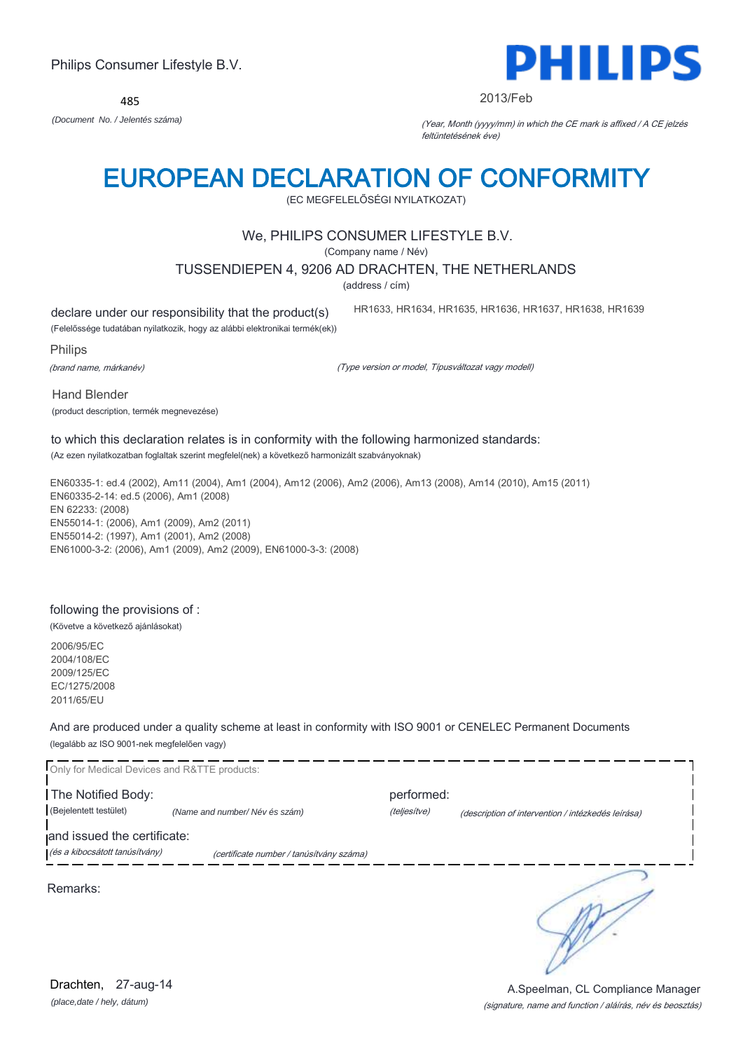(signature, name and function / aláírás, név és beosztás)

Philips Consumer Lifestyle B.V.

485 *(Document No. / Jelentés száma)* (Year, Month (yyyy/mm) in which the CE mark is affixed / A CE jelzés

# EUROPEAN DECLARATION OF CONFORMITY

(EC MEGFELELŐSÉGI NYILATKOZAT)

# We, PHILIPS CONSUMER LIFESTYLE B.V.

(Company name / Név)

# TUSSENDIEPEN 4, 9206 AD DRACHTEN, THE NETHERLANDS

(address / cím)

declare under our responsibility that the product(s)

HR1633, HR1634, HR1635, HR1636, HR1637, HR1638, HR1639

feltüntetésének éve)

(Felelőssége tudatában nyilatkozik, hogy az alábbi elektronikai termék(ek))

Philips

(brand name, márkanév)

(Type version or model, Típusváltozat vagy modell)

Hand Blender

(product description, termék megnevezése)

# to which this declaration relates is in conformity with the following harmonized standards:

(Az ezen nyilatkozatban foglaltak szerint megfelel(nek) a következő harmonizált szabványoknak)

EN60335-1: ed.4 (2002), Am11 (2004), Am1 (2004), Am12 (2006), Am2 (2006), Am13 (2008), Am14 (2010), Am15 (2011) EN60335-2-14: ed.5 (2006), Am1 (2008) EN 62233: (2008) EN55014-1: (2006), Am1 (2009), Am2 (2011) EN55014-2: (1997), Am1 (2001), Am2 (2008) EN61000-3-2: (2006), Am1 (2009), Am2 (2009), EN61000-3-3: (2008)

# following the provisions of :

(Követve a következő ajánlásokat)

2006/95/EC 2004/108/EC 2009/125/EC EC/1275/2008 2011/65/EU

And are produced under a quality scheme at least in conformity with ISO 9001 or CENELEC Permanent Documents (legalább az ISO 9001-nek megfelelően vagy)

| Only for Medical Devices and R&TTE products:                  |                                          |                            |                                                    |
|---------------------------------------------------------------|------------------------------------------|----------------------------|----------------------------------------------------|
| The Notified Body:<br>(Bejelentett testület)                  | (Name and number/Név és szám)            | performed:<br>(teljesítve) |                                                    |
| and issued the certificate:<br>(és a kibocsátott tanúsítvány) | (certificate number / tanúsítvány száma) |                            | (description of intervention / intézkedés leírása) |
| Remarks:                                                      |                                          |                            |                                                    |
|                                                               |                                          |                            |                                                    |
| 27-aug-14<br>Drachten,                                        |                                          |                            | A.Speelman, CL Compliance Manager                  |



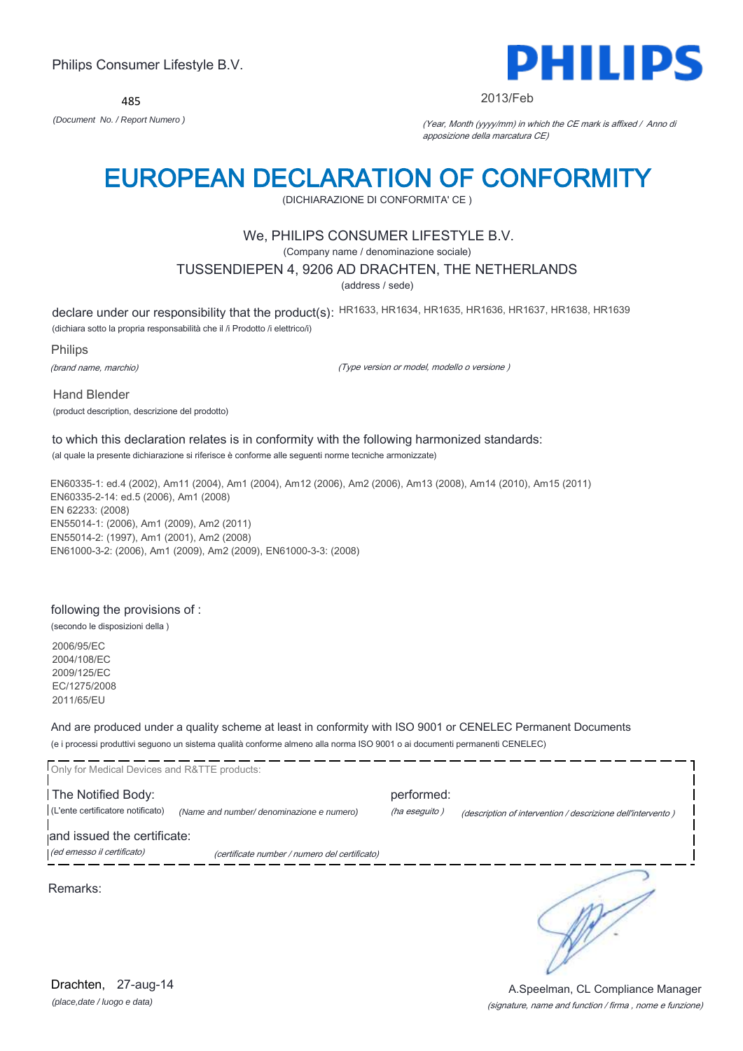485



#### 2013/Feb

*(Document No. / Report Numero )* (Year, Month (yyyy/mm) in which the CE mark is affixed / Anno di apposizione della marcatura CE)

# EUROPEAN DECLARATION OF CONFORMITY

(DICHIARAZIONE DI CONFORMITA' CE )

# We, PHILIPS CONSUMER LIFESTYLE B.V.

(Company name / denominazione sociale)

### TUSSENDIEPEN 4, 9206 AD DRACHTEN, THE NETHERLANDS

(address / sede)

declare under our responsibility that the product(s): HR1633, HR1634, HR1635, HR1636, HR1637, HR1638, HR1639

(dichiara sotto la propria responsabilità che il /i Prodotto /i elettrico/i)

Philips

(brand name, marchio)

(Type version or model, modello o versione )

Hand Blender

(product description, descrizione del prodotto)

# to which this declaration relates is in conformity with the following harmonized standards:

(al quale la presente dichiarazione si riferisce è conforme alle seguenti norme tecniche armonizzate)

EN60335-1: ed.4 (2002), Am11 (2004), Am1 (2004), Am12 (2006), Am2 (2006), Am13 (2008), Am14 (2010), Am15 (2011) EN60335-2-14: ed.5 (2006), Am1 (2008) EN 62233: (2008) EN55014-1: (2006), Am1 (2009), Am2 (2011) EN55014-2: (1997), Am1 (2001), Am2 (2008) EN61000-3-2: (2006), Am1 (2009), Am2 (2009), EN61000-3-3: (2008)

## following the provisions of :

(secondo le disposizioni della )

2006/95/EC 2004/108/EC 2009/125/EC EC/1275/2008 2011/65/EU

And are produced under a quality scheme at least in conformity with ISO 9001 or CENELEC Permanent Documents (e i processi produttivi seguono un sistema qualità conforme almeno alla norma ISO 9001 o ai documenti permanenti CENELEC)

| Only for Medical Devices and R&TTE products:                                           |                                               |                             |                                                             |
|----------------------------------------------------------------------------------------|-----------------------------------------------|-----------------------------|-------------------------------------------------------------|
| The Notified Body:<br>(L'ente certificatore notificato)<br>and issued the certificate: | (Name and number/ denominazione e numero)     | performed:<br>(ha eseguito) | (description of intervention / descrizione dell'intervento) |
| (ed emesso il certificato)                                                             | (certificate number / numero del certificato) |                             |                                                             |
| Remarks:                                                                               |                                               |                             |                                                             |

*(place,date / luogo e data)* Drachten, 27-aug-14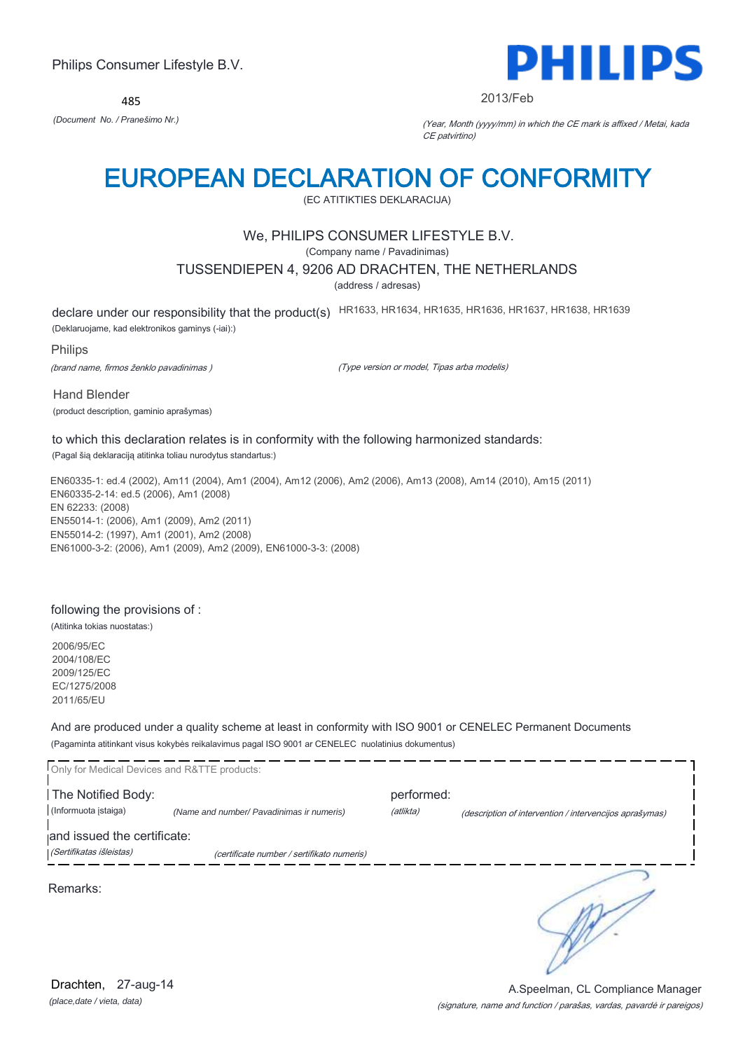485



#### 2013/Feb

*(Document No. / Pranešimo Nr.)* (Year, Month (yyyy/mm) in which the CE mark is affixed / Metai, kada CE patvirtino)

# EUROPEAN DECLARATION OF CONFORMITY

(EC ATITIKTIES DEKLARACIJA)

# We, PHILIPS CONSUMER LIFESTYLE B.V.

(Company name / Pavadinimas)

### TUSSENDIEPEN 4, 9206 AD DRACHTEN, THE NETHERLANDS

(address / adresas)

declare under our responsibility that the product(s) HR1633, HR1634, HR1635, HR1636, HR1637, HR1638, HR1639

(Deklaruojame, kad elektronikos gaminys (-iai):)

Philips

(brand name, firmos ženklo pavadinimas )

(Type version or model, Tipas arba modelis)

Hand Blender

(product description, gaminio aprašymas)

#### to which this declaration relates is in conformity with the following harmonized standards:

(Pagal šią deklaraciją atitinka toliau nurodytus standartus:)

EN60335-1: ed.4 (2002), Am11 (2004), Am1 (2004), Am12 (2006), Am2 (2006), Am13 (2008), Am14 (2010), Am15 (2011) EN60335-2-14: ed.5 (2006), Am1 (2008) EN 62233: (2008) EN55014-1: (2006), Am1 (2009), Am2 (2011) EN55014-2: (1997), Am1 (2001), Am2 (2008) EN61000-3-2: (2006), Am1 (2009), Am2 (2009), EN61000-3-3: (2008)

### following the provisions of :

(Atitinka tokias nuostatas:)

2006/95/EC 2004/108/EC 2009/125/EC EC/1275/2008 2011/65/EU

And are produced under a quality scheme at least in conformity with ISO 9001 or CENELEC Permanent Documents (Pagaminta atitinkant visus kokybės reikalavimus pagal ISO 9001 ar CENELEC nuolatinius dokumentus)

| Only for Medical Devices and R&TTE products: |                                            |            |                                                         |
|----------------------------------------------|--------------------------------------------|------------|---------------------------------------------------------|
| The Notified Body:                           |                                            | performed: |                                                         |
| (Informuota istaiga)                         | (Name and number/ Pavadinimas ir numeris)  | (atlikta)  | (description of intervention / intervencijos aprašymas) |
| and issued the certificate:                  |                                            |            |                                                         |
| (Sertifikatas išleistas)                     | (certificate number / sertifikato numeris) |            |                                                         |
| Remarks:                                     |                                            |            |                                                         |

*(place,date / vieta, data)* Drachten, 27-aug-14

#### (signature, name and function / parašas, vardas, pavardė ir pareigos) A.Speelman, CL Compliance Manager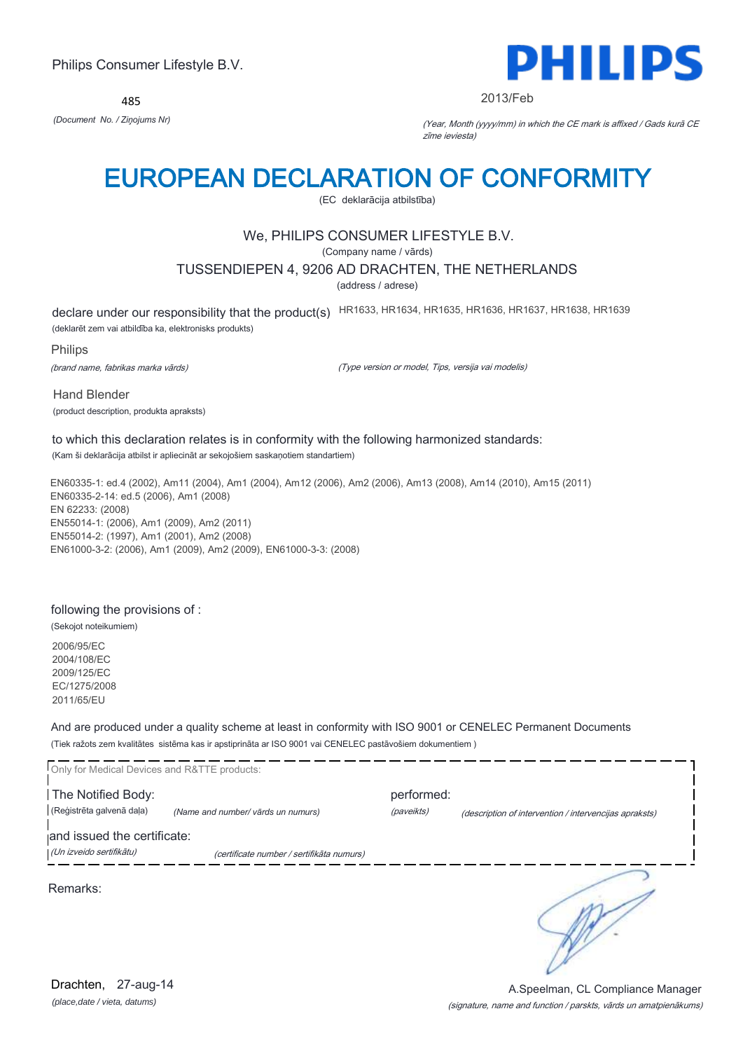485



#### 2013/Feb

*(Document No. / Ziņojums Nr)* (Year, Month (yyyy/mm) in which the CE mark is affixed / Gads kurā CE zīme ieviesta)

# EUROPEAN DECLARATION OF CONFORMITY

(EC deklarācija atbilstība)

# We, PHILIPS CONSUMER LIFESTYLE B.V.

(Company name / vārds)

## TUSSENDIEPEN 4, 9206 AD DRACHTEN, THE NETHERLANDS

(address / adrese)

declare under our responsibility that the product(s) HR1633, HR1634, HR1635, HR1636, HR1637, HR1638, HR1639

(deklarēt zem vai atbildība ka, elektronisks produkts)

Philips

(brand name, fabrikas marka vārds)

(Type version or model, Tips, versija vai modelis)

Hand Blender (product description, produkta apraksts)

#### to which this declaration relates is in conformity with the following harmonized standards: (Kam ši deklarācija atbilst ir apliecināt ar sekojošiem saskaņotiem standartiem)

EN60335-1: ed.4 (2002), Am11 (2004), Am1 (2004), Am12 (2006), Am2 (2006), Am13 (2008), Am14 (2010), Am15 (2011) EN60335-2-14: ed.5 (2006), Am1 (2008) EN 62233: (2008) EN55014-1: (2006), Am1 (2009), Am2 (2011) EN55014-2: (1997), Am1 (2001), Am2 (2008) EN61000-3-2: (2006), Am1 (2009), Am2 (2009), EN61000-3-3: (2008)

## following the provisions of :

(Sekojot noteikumiem) 2006/95/EC 2004/108/EC 2009/125/EC

EC/1275/2008 2011/65/EU

And are produced under a quality scheme at least in conformity with ISO 9001 or CENELEC Permanent Documents (Tiek ražots zem kvalitātes sistēma kas ir apstiprināta ar ISO 9001 vai CENELEC pastāvošiem dokumentiem )

| Only for Medical Devices and R&TTE products: |                                           |            |                                                        |
|----------------------------------------------|-------------------------------------------|------------|--------------------------------------------------------|
| The Notified Body:                           |                                           | performed: |                                                        |
| (Reģistrēta galvenā daļa)                    | (Name and number/ vārds un numurs)        | (paveikts) | (description of intervention / intervencijas apraksts) |
| and issued the certificate:                  |                                           |            |                                                        |
| (Un izveido sertifikātu)                     | (certificate number / sertifikāta numurs) |            |                                                        |
| Remarks:                                     |                                           |            |                                                        |

*(place,date / vieta, datums)* Drachten, 27-aug-14

#### (signature, name and function / parskts, vārds un amatpienākums) A.Speelman, CL Compliance Manager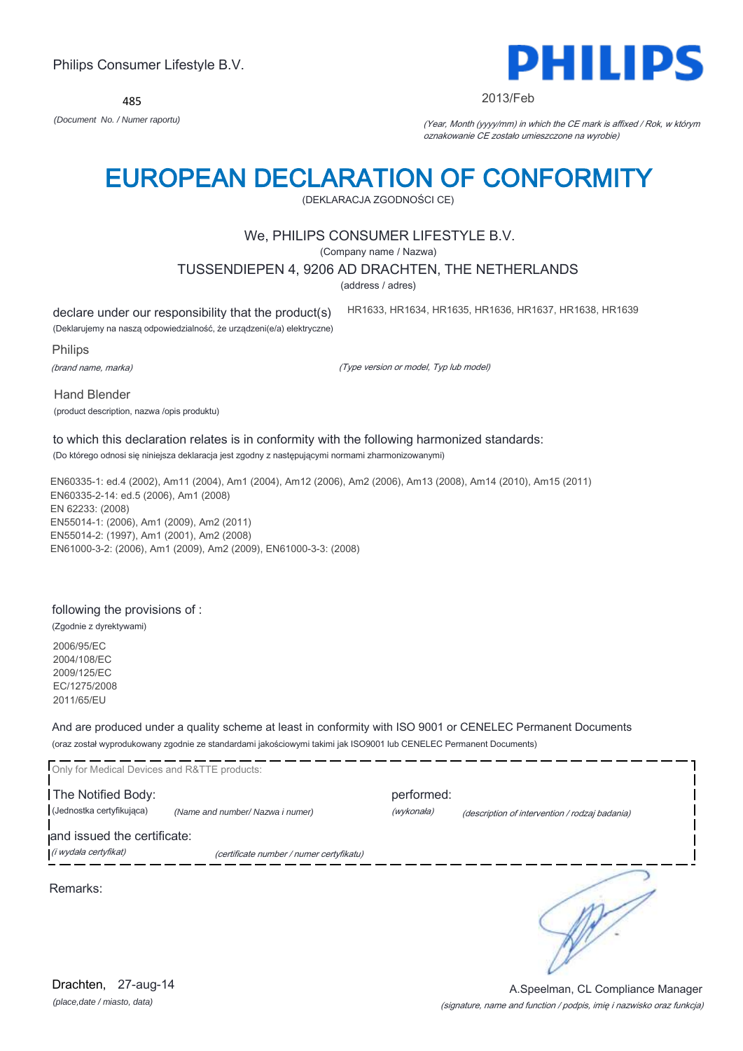485



#### 2013/Feb

HR1633, HR1634, HR1635, HR1636, HR1637, HR1638, HR1639

*(Document No. / Numer raportu)* (Year, Month (yyyy/mm) in which the CE mark is affixed / Rok, w którym oznakowanie CE zostało umieszczone na wyrobie)

# EUROPEAN DECLARATION OF CONFORMITY

(DEKLARACJA ZGODNOŚCI CE)

# We, PHILIPS CONSUMER LIFESTYLE B.V.

(Company name / Nazwa)

#### TUSSENDIEPEN 4, 9206 AD DRACHTEN, THE NETHERLANDS

(address / adres)

declare under our responsibility that the product(s)

(Deklarujemy na naszą odpowiedzialność, że urządzeni(e/a) elektryczne)

Philips

(brand name, marka)

(Type version or model, Typ lub model)

Hand Blender

(product description, nazwa /opis produktu)

# to which this declaration relates is in conformity with the following harmonized standards:

(Do którego odnosi się niniejsza deklaracja jest zgodny z następującymi normami zharmonizowanymi)

EN60335-1: ed.4 (2002), Am11 (2004), Am1 (2004), Am12 (2006), Am2 (2006), Am13 (2008), Am14 (2010), Am15 (2011) EN60335-2-14: ed.5 (2006), Am1 (2008) EN 62233: (2008) EN55014-1: (2006), Am1 (2009), Am2 (2011) EN55014-2: (1997), Am1 (2001), Am2 (2008) EN61000-3-2: (2006), Am1 (2009), Am2 (2009), EN61000-3-3: (2008)

#### following the provisions of :

(Zgodnie z dyrektywami) 2006/95/EC 2004/108/EC 2009/125/EC EC/1275/2008

2011/65/EU

And are produced under a quality scheme at least in conformity with ISO 9001 or CENELEC Permanent Documents (oraz został wyprodukowany zgodnie ze standardami jakościowymi takimi jak ISO9001 lub CENELEC Permanent Documents)

| Only for Medical Devices and R&TTE products:         |                                          |                          |                                                |
|------------------------------------------------------|------------------------------------------|--------------------------|------------------------------------------------|
| The Notified Body:<br>(Jednostka certyfikująca)      | (Name and number/ Nazwa i numer)         | performed:<br>(wykonała) | (description of intervention / rodzaj badania) |
| and issued the certificate:<br>(i wydała certyfikat) | (certificate number / numer certyfikatu) |                          |                                                |
| Remarks:                                             |                                          |                          |                                                |

*(place,date / miasto, data)* Drachten, 27-aug-14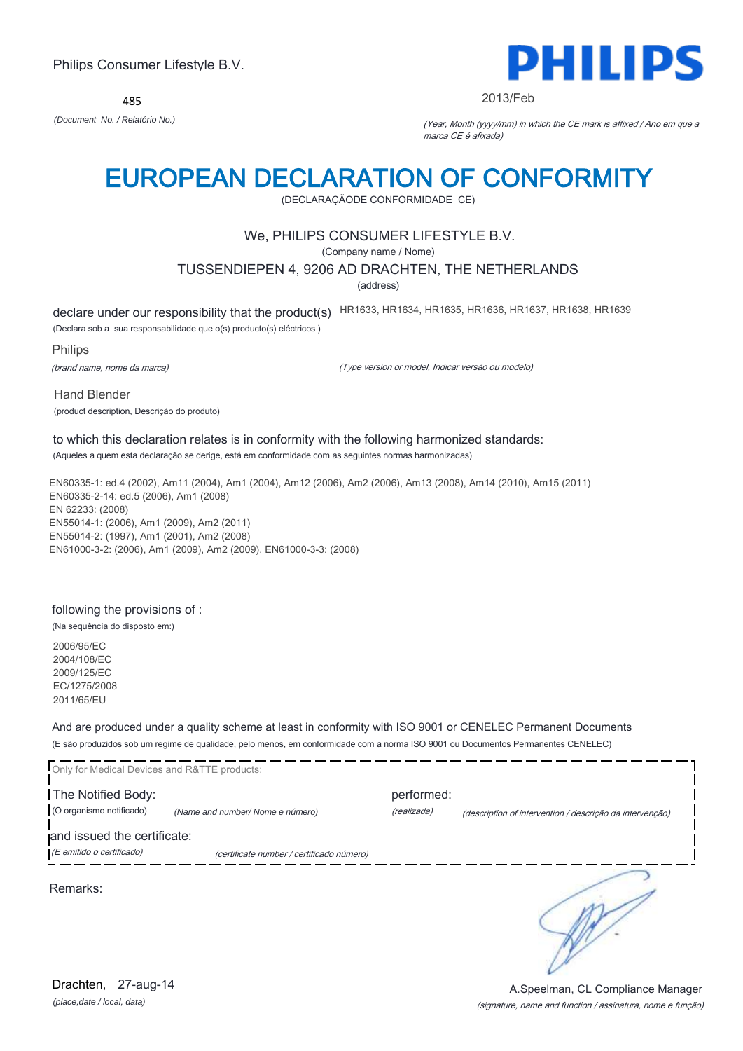485



#### 2013/Feb

*(Document No. / Relatório No.)* (Year, Month (yyyy/mm) in which the CE mark is affixed / Ano em que a marca CE é afixada)

# EUROPEAN DECLARATION OF CONFORMITY

(DECLARAÇÃODE CONFORMIDADE CE)

# We, PHILIPS CONSUMER LIFESTYLE B.V.

(Company name / Nome)

## TUSSENDIEPEN 4, 9206 AD DRACHTEN, THE NETHERLANDS

(address)

declare under our responsibility that the product(s) HR1633, HR1634, HR1635, HR1636, HR1637, HR1638, HR1639

(Declara sob a sua responsabilidade que o(s) producto(s) eléctricos )

Philips

(brand name, nome da marca)

(Type version or model, Indicar versão ou modelo)

Hand Blender

(product description, Descrição do produto)

# to which this declaration relates is in conformity with the following harmonized standards:

(Aqueles a quem esta declaração se derige, está em conformidade com as seguintes normas harmonizadas)

EN60335-1: ed.4 (2002), Am11 (2004), Am1 (2004), Am12 (2006), Am2 (2006), Am13 (2008), Am14 (2010), Am15 (2011) EN60335-2-14: ed.5 (2006), Am1 (2008) EN 62233: (2008) EN55014-1: (2006), Am1 (2009), Am2 (2011) EN55014-2: (1997), Am1 (2001), Am2 (2008) EN61000-3-2: (2006), Am1 (2009), Am2 (2009), EN61000-3-3: (2008)

## following the provisions of :

(Na sequência do disposto em:)

2006/95/EC 2004/108/EC 2009/125/EC EC/1275/2008 2011/65/EU

And are produced under a quality scheme at least in conformity with ISO 9001 or CENELEC Permanent Documents (E são produzidos sob um regime de qualidade, pelo menos, em conformidade com a norma ISO 9001 ou Documentos Permanentes CENELEC)

| Only for Medical Devices and R&TTE products:             |                                           |                           |                                                          |
|----------------------------------------------------------|-------------------------------------------|---------------------------|----------------------------------------------------------|
| The Notified Body:<br>(O organismo notificado)           | (Name and number/Nome e número)           | performed:<br>(realizada) | (description of intervention / descrição da intervenção) |
| and issued the certificate:<br>(E emitido o certificado) | (certificate number / certificado número) |                           |                                                          |
| Remarks:                                                 |                                           |                           |                                                          |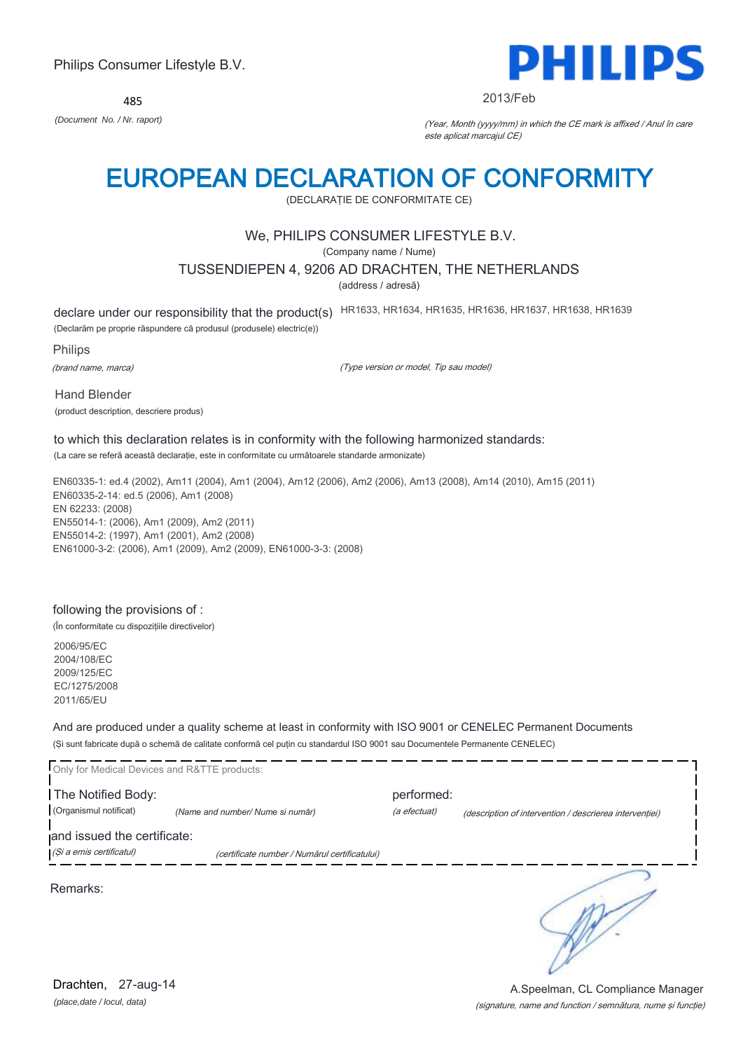485



#### 2013/Feb

*(Document No. / Nr. raport)* (Year, Month (yyyy/mm) in which the CE mark is affixed / Anul în care este aplicat marcajul CE)

# EUROPEAN DECLARATION OF CONFORMITY

(DECLARAŢIE DE CONFORMITATE CE)

# We, PHILIPS CONSUMER LIFESTYLE B.V.

(Company name / Nume)

### TUSSENDIEPEN 4, 9206 AD DRACHTEN, THE NETHERLANDS

(address / adresă)

declare under our responsibility that the product(s) HR1633, HR1634, HR1635, HR1636, HR1637, HR1638, HR1639

(Declarăm pe proprie răspundere că produsul (produsele) electric(e))

Philips

(brand name, marca)

(Type version or model, Tip sau model)

Hand Blender (product description, descriere produs)

# to which this declaration relates is in conformity with the following harmonized standards:

(La care se referă această declaraţie, este in conformitate cu următoarele standarde armonizate)

EN60335-1: ed.4 (2002), Am11 (2004), Am1 (2004), Am12 (2006), Am2 (2006), Am13 (2008), Am14 (2010), Am15 (2011) EN60335-2-14: ed.5 (2006), Am1 (2008) EN 62233: (2008) EN55014-1: (2006), Am1 (2009), Am2 (2011) EN55014-2: (1997), Am1 (2001), Am2 (2008) EN61000-3-2: (2006), Am1 (2009), Am2 (2009), EN61000-3-3: (2008)

## following the provisions of :

(În conformitate cu dispoziţiile directivelor)

2006/95/EC 2004/108/EC 2009/125/EC EC/1275/2008 2011/65/EU

And are produced under a quality scheme at least in conformity with ISO 9001 or CENELEC Permanent Documents (Şi sunt fabricate după o schemă de calitate conformă cel puţin cu standardul ISO 9001 sau Documentele Permanente CENELEC)

| Only for Medical Devices and R&TTE products: |                                               |              |                                                         |
|----------------------------------------------|-----------------------------------------------|--------------|---------------------------------------------------------|
| The Notified Body:                           |                                               | performed:   |                                                         |
| (Organismul notificat)                       | (Name and number/ Nume si număr)              | (a efectuat) | (description of intervention / descrierea interventiei) |
| and issued the certificate:                  |                                               |              |                                                         |
| (Și a emis certificatul)                     | (certificate number / Numărul certificatului) |              |                                                         |
| Remarks:                                     |                                               |              |                                                         |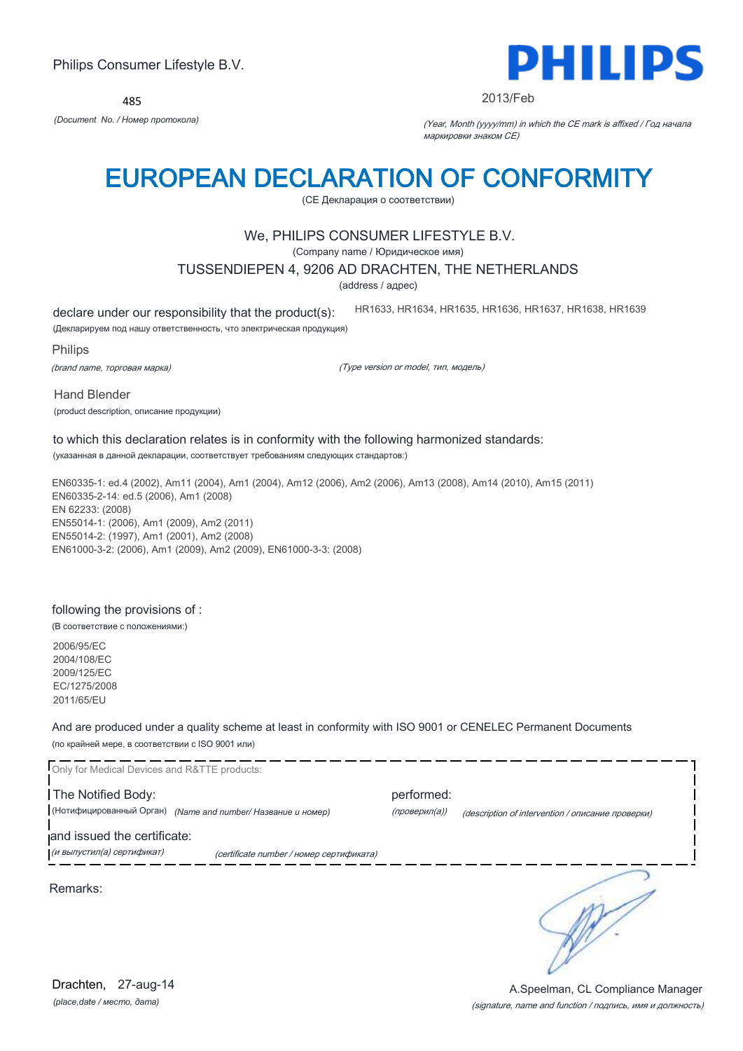485



#### 2013/Feb

*(Document No. / Номер протокола)* (Year, Month (yyyy/mm) in which the CE mark is affixed / Год начала маркировки знаком CE)

# EUROPEAN DECLARATION OF CONFORMITY

(CE Декларация о соответствии)

# We, PHILIPS CONSUMER LIFESTYLE B.V.

(Company name / Юридическое имя)

### TUSSENDIEPEN 4, 9206 AD DRACHTEN, THE NETHERLANDS

(address / адрес)

declare under our responsibility that the product(s):

HR1633, HR1634, HR1635, HR1636, HR1637, HR1638, HR1639

(Декларируем под нашу ответственность, что электрическая продукция)

Philips

(brand name, торговая марка)

(Type version or model, тип, модель)

Hand Blender

(product description, описание продукции)

#### to which this declaration relates is in conformity with the following harmonized standards: (указанная в данной декларации, соответствует требованиям следующих стандартов:)

EN60335-1: ed.4 (2002), Am11 (2004), Am1 (2004), Am12 (2006), Am2 (2006), Am13 (2008), Am14 (2010), Am15 (2011) EN60335-2-14: ed.5 (2006), Am1 (2008) EN 62233: (2008) EN55014-1: (2006), Am1 (2009), Am2 (2011) EN55014-2: (1997), Am1 (2001), Am2 (2008) EN61000-3-2: (2006), Am1 (2009), Am2 (2009), EN61000-3-3: (2008)

## following the provisions of :

(В соответствие с положениями:)

2006/95/EC 2004/108/EC 2009/125/EC EC/1275/2008 2011/65/EU

And are produced under a quality scheme at least in conformity with ISO 9001 or CENELEC Permanent Documents (по крайней мере, в соответствии с ISO 9001 или)

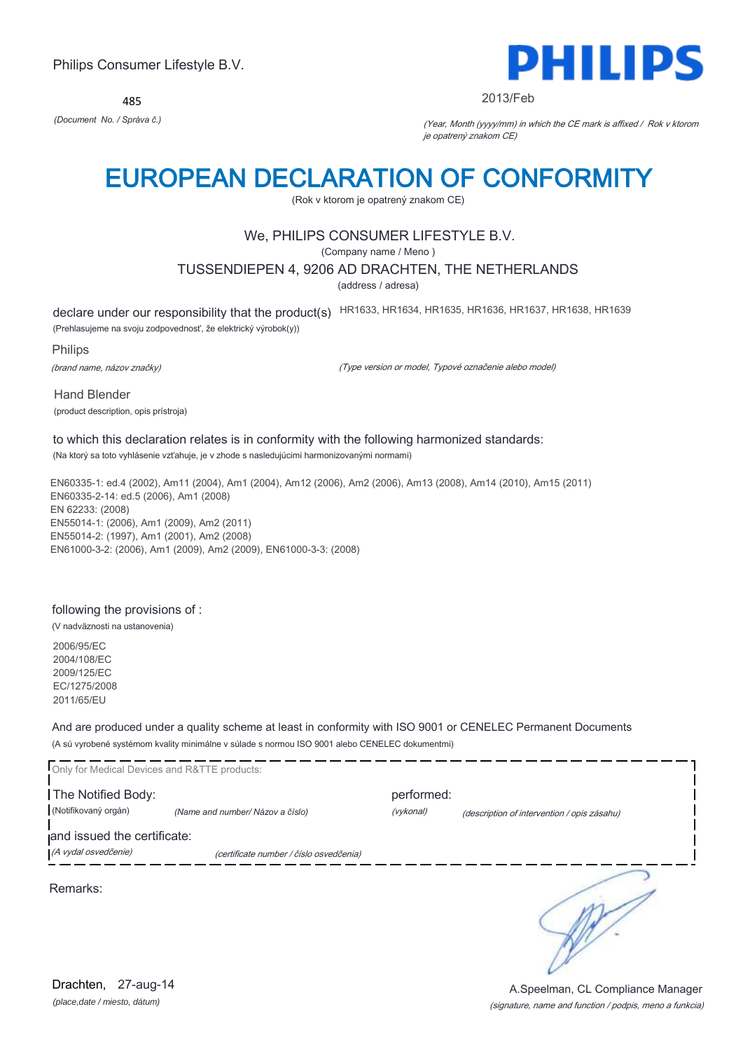485



#### 2013/Feb

*(Document No. / Správa č.)* (Year, Month (yyyy/mm) in which the CE mark is affixed / Rok v ktorom je opatrený znakom CE)

# EUROPEAN DECLARATION OF CONFORMITY

(Rok v ktorom je opatrený znakom CE)

# We, PHILIPS CONSUMER LIFESTYLE B.V.

(Company name / Meno )

## TUSSENDIEPEN 4, 9206 AD DRACHTEN, THE NETHERLANDS

(address / adresa)

declare under our responsibility that the product(s) HR1633, HR1634, HR1635, HR1636, HR1637, HR1638, HR1639

(Prehlasujeme na svoju zodpovednosť, že elektrický výrobok(y))

Philips

(brand name, názov značky)

(Type version or model, Typové označenie alebo model)

Hand Blender (product description, opis prístroja)

#### to which this declaration relates is in conformity with the following harmonized standards: (Na ktorý sa toto vyhlásenie vzťahuje, je v zhode s nasledujúcimi harmonizovanými normami)

EN60335-1: ed.4 (2002), Am11 (2004), Am1 (2004), Am12 (2006), Am2 (2006), Am13 (2008), Am14 (2010), Am15 (2011) EN60335-2-14: ed.5 (2006), Am1 (2008) EN 62233: (2008) EN55014-1: (2006), Am1 (2009), Am2 (2011) EN55014-2: (1997), Am1 (2001), Am2 (2008) EN61000-3-2: (2006), Am1 (2009), Am2 (2009), EN61000-3-3: (2008)

## following the provisions of :

(V nadväznosti na ustanovenia)

2006/95/EC 2004/108/EC 2009/125/EC EC/1275/2008 2011/65/EU

And are produced under a quality scheme at least in conformity with ISO 9001 or CENELEC Permanent Documents (A sú vyrobené systémom kvality minimálne v súlade s normou ISO 9001 alebo CENELEC dokumentmi)

| Only for Medical Devices and R&TTE products:        |                                         |                         |                                             |
|-----------------------------------------------------|-----------------------------------------|-------------------------|---------------------------------------------|
| The Notified Body:<br>(Notifikovaný orgán)          | (Name and number/ Názov a číslo)        | performed:<br>(vykonal) | (description of intervention / opis zásahu) |
| and issued the certificate:<br>(A vydal osvedčenie) | (certificate number / číslo osvedčenia) |                         |                                             |
| Remarks:                                            |                                         |                         |                                             |
|                                                     |                                         |                         |                                             |
|                                                     |                                         |                         |                                             |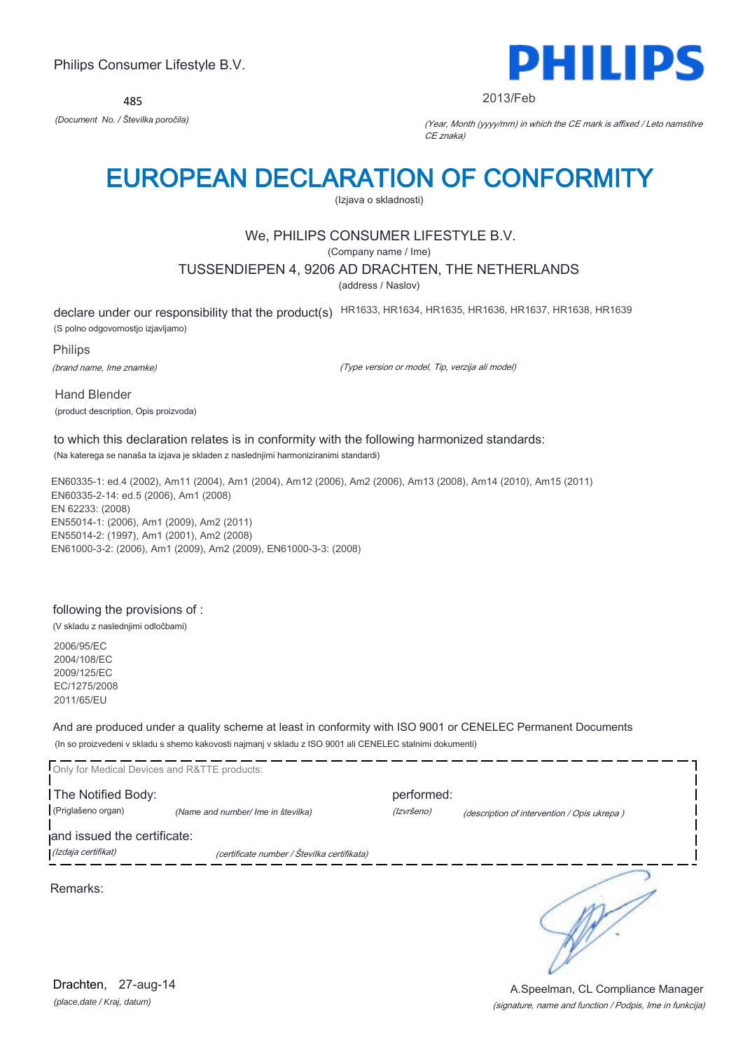485



#### 2013/Feb

*(Document No. / Številka poročila)* (Year, Month (yyyy/mm) in which the CE mark is affixed / Leto namstitve CE znaka)

# EUROPEAN DECLARATION OF CONFORMITY

(Izjava o skladnosti)

# We, PHILIPS CONSUMER LIFESTYLE B.V.

(Company name / Ime)

## TUSSENDIEPEN 4, 9206 AD DRACHTEN, THE NETHERLANDS

(address / Naslov)

declare under our responsibility that the product(s) HR1633, HR1634, HR1635, HR1636, HR1637, HR1638, HR1639

(S polno odgovornostjo izjavljamo)

Philips

(brand name, Ime znamke)

(Type version or model, Tip, verzija ali model)

Hand Blender (product description, Opis proizvoda)

# to which this declaration relates is in conformity with the following harmonized standards:

(Na katerega se nanaša ta izjava je skladen z naslednjimi harmoniziranimi standardi)

EN60335-1: ed.4 (2002), Am11 (2004), Am1 (2004), Am12 (2006), Am2 (2006), Am13 (2008), Am14 (2010), Am15 (2011) EN60335-2-14: ed.5 (2006), Am1 (2008) EN 62233: (2008) EN55014-1: (2006), Am1 (2009), Am2 (2011) EN55014-2: (1997), Am1 (2001), Am2 (2008) EN61000-3-2: (2006), Am1 (2009), Am2 (2009), EN61000-3-3: (2008)

## following the provisions of :

(V skladu z naslednjimi odločbami)

2006/95/EC 2004/108/EC 2009/125/EC EC/1275/2008 2011/65/EU

And are produced under a quality scheme at least in conformity with ISO 9001 or CENELEC Permanent Documents (In so proizvedeni v skladu s shemo kakovosti najmanj v skladu z ISO 9001 ali CENELEC stalnimi dokumenti)

| Only for Medical Devices and R&TTE products:       |                                             |                          |                                             |
|----------------------------------------------------|---------------------------------------------|--------------------------|---------------------------------------------|
| The Notified Body:<br>(Priglašeno organ)           | (Name and number/ Ime in številka)          | performed:<br>(Izvršeno) | (description of intervention / Opis ukrepa) |
| and issued the certificate:<br>(Izdaja certifikat) | (certificate number / Številka certifikata) |                          |                                             |
| Remarks:                                           |                                             |                          |                                             |

*(place,date / Kraj, datum)* Drachten, 27-aug-14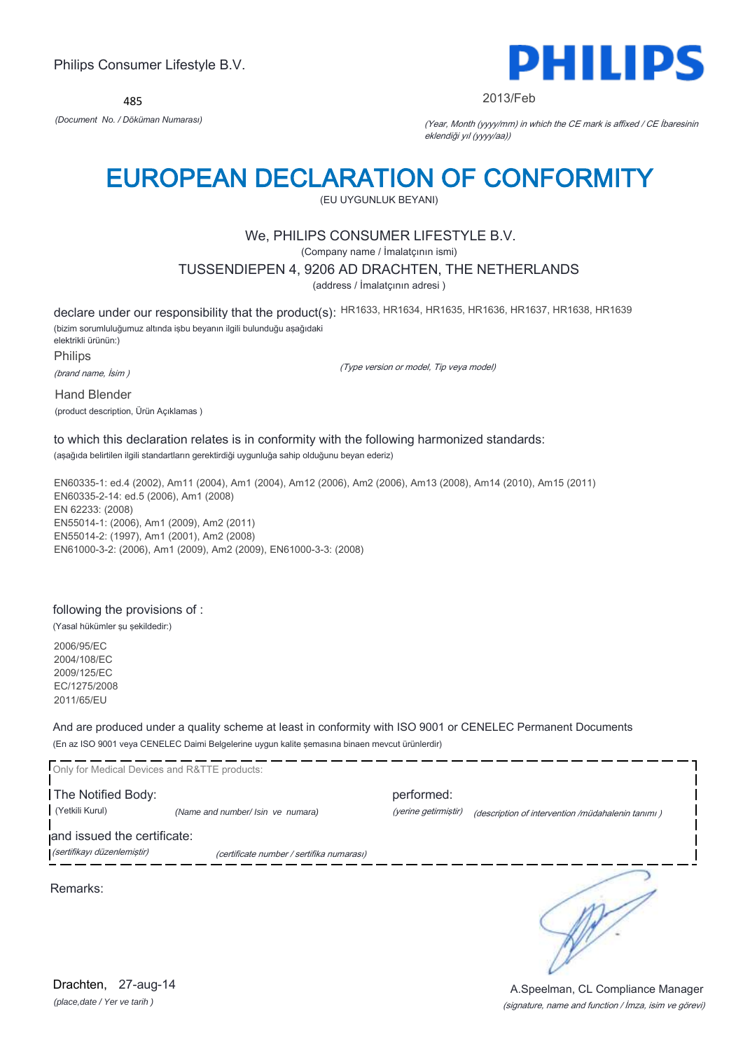485



#### 2013/Feb

*(Document No. / Döküman Numarası)* (Year, Month (yyyy/mm) in which the CE mark is affixed / CE İbaresinin eklendiği yıl (yyyy/aa))

# EUROPEAN DECLARATION OF CONFORMITY

(EU UYGUNLUK BEYANI)

# We, PHILIPS CONSUMER LIFESTYLE B.V.

(Company name / İmalatçının ismi)

### TUSSENDIEPEN 4, 9206 AD DRACHTEN, THE NETHERLANDS

(address / İmalatçının adresi )

(Type version or model, Tip veya model)

declare under our responsibility that the product(s): HR1633, HR1634, HR1635, HR1636, HR1637, HR1638, HR1639

(bizim sorumluluğumuz altında işbu beyanın ilgili bulunduğu aşağıdaki elektrikli ürünün:) Philips

(brand name, İsim )

Hand Blender

(product description, Ürün Açıklamas )

# to which this declaration relates is in conformity with the following harmonized standards:

(aşağıda belirtilen ilgili standartların gerektirdiği uygunluğa sahip olduğunu beyan ederiz)

EN60335-1: ed.4 (2002), Am11 (2004), Am1 (2004), Am12 (2006), Am2 (2006), Am13 (2008), Am14 (2010), Am15 (2011) EN60335-2-14: ed.5 (2006), Am1 (2008) EN 62233: (2008) EN55014-1: (2006), Am1 (2009), Am2 (2011) EN55014-2: (1997), Am1 (2001), Am2 (2008) EN61000-3-2: (2006), Am1 (2009), Am2 (2009), EN61000-3-3: (2008)

## following the provisions of :

(Yasal hükümler şu şekildedir:)

2006/95/EC 2004/108/EC 2009/125/EC EC/1275/2008 2011/65/EU

And are produced under a quality scheme at least in conformity with ISO 9001 or CENELEC Permanent Documents (En az ISO 9001 veya CENELEC Daimi Belgelerine uygun kalite şemasına binaen mevcut ürünlerdir)

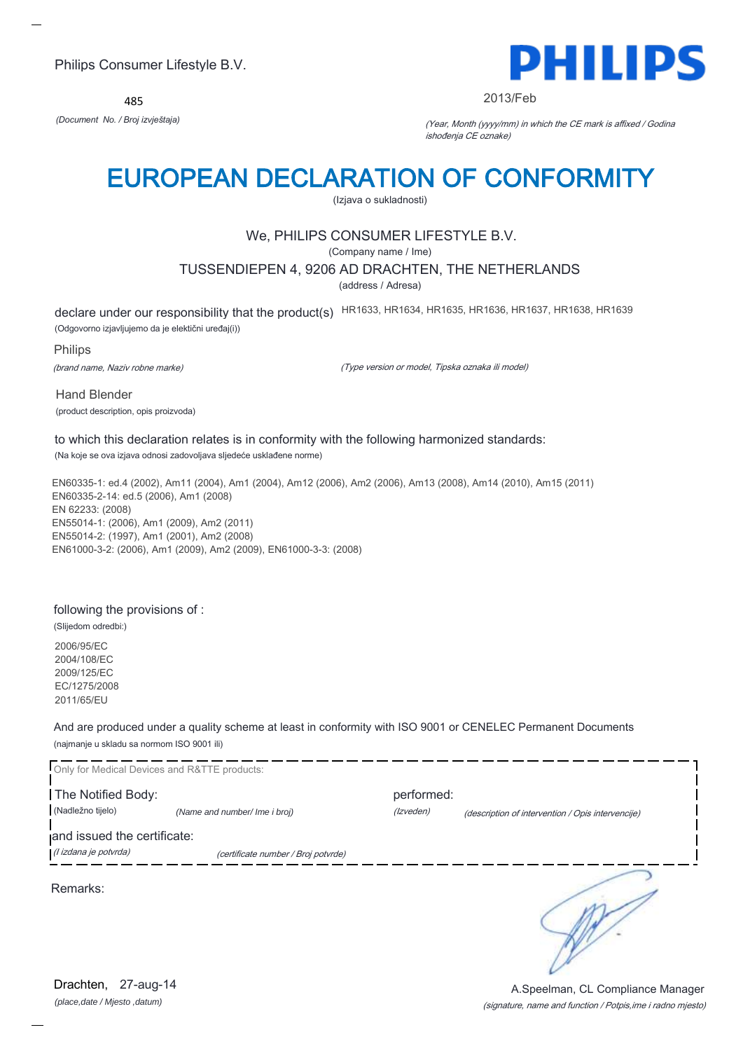485



#### 2013/Feb

*(Document No. / Broj izvještaja)* (Year, Month (yyyy/mm) in which the CE mark is affixed / Godina ishođenja CE oznake)

# EUROPEAN DECLARATION OF CONFORMITY

(Izjava o sukladnosti)

# We, PHILIPS CONSUMER LIFESTYLE B.V.

(Company name / Ime)

### TUSSENDIEPEN 4, 9206 AD DRACHTEN, THE NETHERLANDS

(address / Adresa)

declare under our responsibility that the product(s) HR1633, HR1634, HR1635, HR1636, HR1637, HR1638, HR1639

(Odgovorno izjavljujemo da je elektični uređaj(i))

Philips

(brand name, Naziv robne marke)

(Type version or model, Tipska oznaka ili model)

Hand Blender (product description, opis proizvoda)

to which this declaration relates is in conformity with the following harmonized standards: (Na koje se ova izjava odnosi zadovoljava sljedeće usklađene norme)

EN60335-1: ed.4 (2002), Am11 (2004), Am1 (2004), Am12 (2006), Am2 (2006), Am13 (2008), Am14 (2010), Am15 (2011) EN60335-2-14: ed.5 (2006), Am1 (2008) EN 62233: (2008) EN55014-1: (2006), Am1 (2009), Am2 (2011) EN55014-2: (1997), Am1 (2001), Am2 (2008) EN61000-3-2: (2006), Am1 (2009), Am2 (2009), EN61000-3-3: (2008)

## following the provisions of :

(Slijedom odredbi:) 2006/95/EC 2004/108/EC 2009/125/EC EC/1275/2008 2011/65/EU

And are produced under a quality scheme at least in conformity with ISO 9001 or CENELEC Permanent Documents (najmanje u skladu sa normom ISO 9001 ili)

|                             | Only for Medical Devices and R&TTE products: |            |                                                   |
|-----------------------------|----------------------------------------------|------------|---------------------------------------------------|
| The Notified Body:          |                                              | performed: |                                                   |
| (Nadležno tijelo)           | (Name and number/ Ime i broj)                | (Izveden)  | (description of intervention / Opis intervencije) |
| and issued the certificate: |                                              |            |                                                   |
| (l izdana je potvrda)       | (certificate number / Broj potvrde)          |            |                                                   |
| Remarks:                    |                                              |            |                                                   |

(signature, name and function / Potpis,ime i radno mjesto) A.Speelman, CL Compliance Manager

*(place,date / Mjesto ,datum)* Drachten, 27-aug-14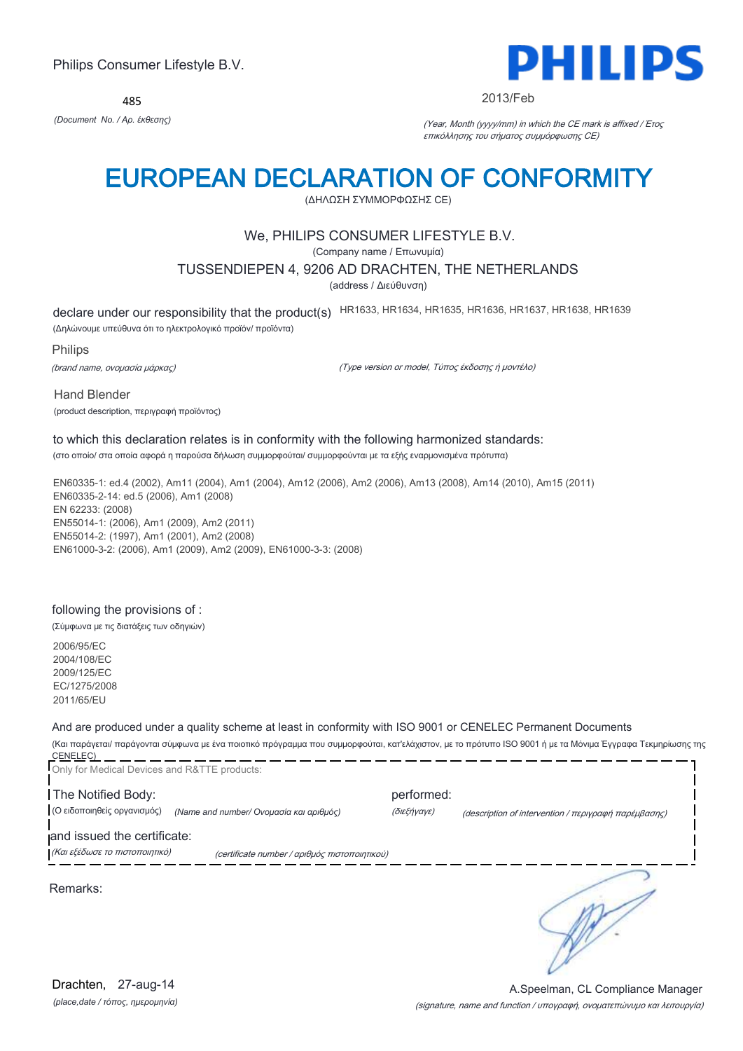485



#### 2013/Feb

*(Document No. / Αρ. έκθεσης)* (Year, Month (yyyy/mm) in which the CE mark is affixed / Έτος επικόλλησης του σήματος συμμόρφωσης CE)

# EUROPEAN DECLARATION OF CONFORMITY

(ΔΗΛΩΣΗ ΣΥΜΜΟΡΦΩΣΗΣ CE)

# We, PHILIPS CONSUMER LIFESTYLE B.V.

(Company name / Επωνυμία)

### TUSSENDIEPEN 4, 9206 AD DRACHTEN, THE NETHERLANDS

(address / Διεύθυνση)

declare under our responsibility that the product(s) HR1633, HR1634, HR1635, HR1636, HR1637, HR1638, HR1639

(Δηλώνουμε υπεύθυνα ότι το ηλεκτρολογικό προϊόν/ προϊόντα)

Philips

(brand name, ονομασία μάρκας)

(Type version or model, Τύπος έκδοσης ή μοντέλο)

Hand Blender

(product description, περιγραφή προϊόντος)

# to which this declaration relates is in conformity with the following harmonized standards:

(στο οποίο/ στα οποία αφορά η παρούσα δήλωση συμμορφούται/ συμμορφούνται με τα εξής εναρμονισμένα πρότυπα)

EN60335-1: ed.4 (2002), Am11 (2004), Am1 (2004), Am12 (2006), Am2 (2006), Am13 (2008), Am14 (2010), Am15 (2011) EN60335-2-14: ed.5 (2006), Am1 (2008) EN 62233: (2008) EN55014-1: (2006), Am1 (2009), Am2 (2011) EN55014-2: (1997), Am1 (2001), Am2 (2008) EN61000-3-2: (2006), Am1 (2009), Am2 (2009), EN61000-3-3: (2008)

#### following the provisions of :

(Σύμφωνα με τις διατάξεις των οδηγιών)

2006/95/EC 2004/108/EC 2009/125/EC EC/1275/2008 2011/65/EU

And are produced under a quality scheme at least in conformity with ISO 9001 or CENELEC Permanent Documents

(Και παράγεται/ παράγονται σύμφωνα με ένα ποιοτικό πρόγραμμα που συμμορφούται, κατ'ελάχιστον, με το πρότυπο ISO 9001 ή με τα Μόνιμα Έγγραφα Τεκμηρίωσης της CENELEC) 

| Only for Medical Devices and R&TTE products:                  |                                               |                           |                                                      |
|---------------------------------------------------------------|-----------------------------------------------|---------------------------|------------------------------------------------------|
| The Notified Body:<br>(Ο ειδοποιηθείς οργανισμός)             | (Name and number/ Ονομασία και αριθμός)       | performed:<br>(διεξήγαγε) | (description of intervention / περιγραφή παρέμβασης) |
| and issued the certificate:<br>(Και εξέδωσε το πιστοποιητικό) | (certificate number / αριθμός πιστοποιητικού) |                           |                                                      |
| Remarks:                                                      |                                               |                           |                                                      |